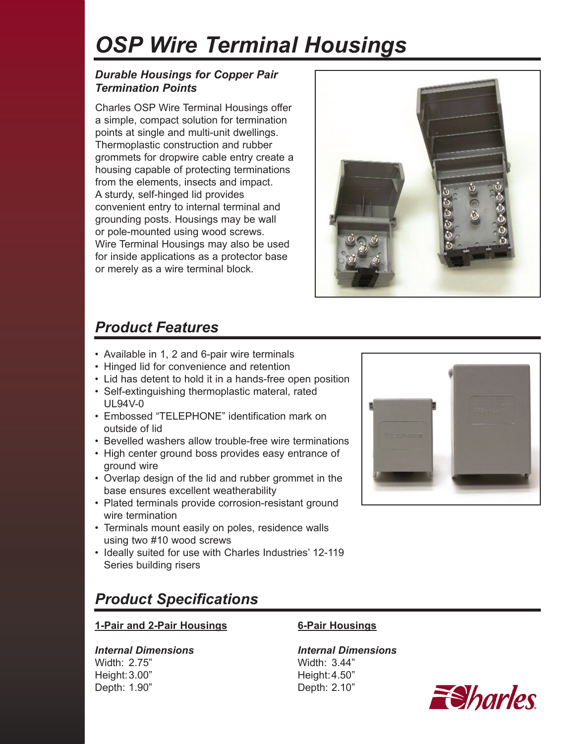# *OSP Wire Terminal Housings*

### *Durable Housings for Copper Pair Termination Points*

Charles OSP Wire Terminal Housings offer a simple, compact solution for termination points at single and multi-unit dwellings. Thermoplastic construction and rubber grommets for dropwire cable entry create a housing capable of protecting terminations from the elements, insects and impact. A sturdy, self-hinged lid provides convenient entry to internal terminal and grounding posts. Housings may be wall or pole-mounted using wood screws. Wire Terminal Housings may also be used for inside applications as a protector base or merely as a wire terminal block.



## *Product Features*

- Available in 1, 2 and 6-pair wire terminals
- Hinged lid for convenience and retention
- Lid has detent to hold it in a hands-free open position
- Self-extinguishing thermoplastic materal, rated UL94V-0
- Embossed "TELEPHONE" identification mark on outside of lid
- Bevelled washers allow trouble-free wire terminations
- High center ground boss provides easy entrance of ground wire
- Overlap design of the lid and rubber grommet in the base ensures excellent weatherability
- Plated terminals provide corrosion-resistant ground wire termination
- Terminals mount easily on poles, residence walls using two #10 wood screws
- Ideally suited for use with Charles Industries' 12-119 Series building risers



## *Product Specifications*

### **1-Pair and 2-Pair Housings 6-Pair Housings**

### *Internal Dimensions Internal Dimensions*

Width: 2.75" Width: 3.44" Height: 3.00" Height: 4.50" Depth: 1.90" Depth: 2.10"